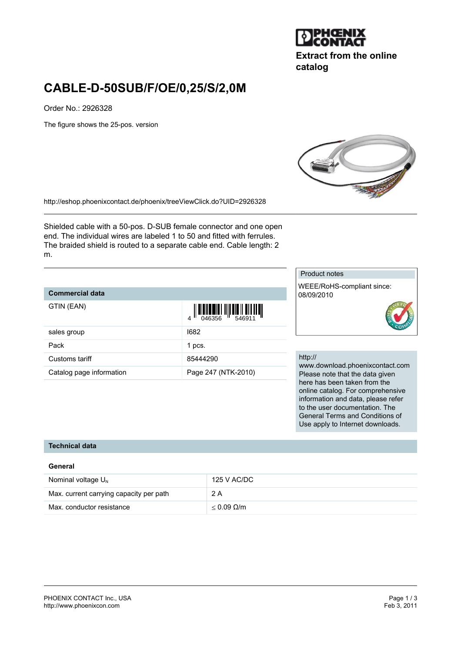# **JPHCENIX**

**Extract from the online catalog**

# **CABLE-D-50SUB/F/OE/0,25/S/2,0M**

Order No.: 2926328

The figure shows the 25-pos. version



<http://eshop.phoenixcontact.de/phoenix/treeViewClick.do?UID=2926328>

Shielded cable with a 50-pos. D-SUB female connector and one open end. The individual wires are labeled 1 to 50 and fitted with ferrules. The braided shield is routed to a separate cable end. Cable length: 2 m.

#### **Commercial data**

|                          |                                                                                                                                                                                                                                                                                                                                                                                                                                                                                                                                                                                           | -- - -                      |
|--------------------------|-------------------------------------------------------------------------------------------------------------------------------------------------------------------------------------------------------------------------------------------------------------------------------------------------------------------------------------------------------------------------------------------------------------------------------------------------------------------------------------------------------------------------------------------------------------------------------------------|-----------------------------|
| GTIN (EAN)               | $\begin{array}{c} \begin{array}{c} \begin{array}{c} \end{array}\\ \begin{array}{c} \end{array}\\ \begin{array}{c} \end{array}\\ \begin{array}{c} \end{array}\\ \begin{array}{c} \end{array}\\ \begin{array}{c} \end{array}\\ \begin{array}{c} \end{array}\\ \begin{array}{c} \end{array}\\ \begin{array}{c} \end{array}\\ \begin{array}{c} \end{array}\\ \begin{array}{c} \end{array}\\ \begin{array}{c} \end{array}\\ \begin{array}{c} \end{array}\\ \begin{array}{c} \end{array}\\ \begin{array}{c} \end{array}\\ \begin{array}{c} \end{array}\\ \begin{array}{c} \end{array}\\ \begin$ |                             |
| sales group              | 1682                                                                                                                                                                                                                                                                                                                                                                                                                                                                                                                                                                                      |                             |
| Pack                     | 1 pcs.                                                                                                                                                                                                                                                                                                                                                                                                                                                                                                                                                                                    |                             |
| Customs tariff           | 85444290                                                                                                                                                                                                                                                                                                                                                                                                                                                                                                                                                                                  | http:<br><b>WWV</b><br>Plea |
| Catalog page information | Page 247 (NTK-2010)                                                                                                                                                                                                                                                                                                                                                                                                                                                                                                                                                                       |                             |

#### Product notes

WEEE/RoHS-compliant since: 08/09/2010



#### $\frac{1}{2}$

v.download.phoenixcontact.com ase note that the data given here has been taken from the online catalog. For comprehensive information and data, please refer to the user documentation. The General Terms and Conditions of Use apply to Internet downloads.

### **Technical data**

#### **General**

| Nominal voltage $U_{N}$                 | 125 V AC/DC          |
|-----------------------------------------|----------------------|
| Max. current carrying capacity per path | 2 A                  |
| Max. conductor resistance               | $<$ 0.09 $\Omega$ /m |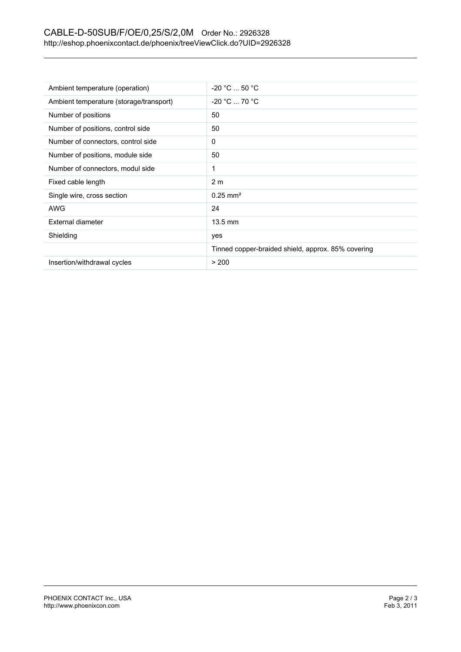# CABLE-D-50SUB/F/OE/0,25/S/2,0M Order No.: 2926328 <http://eshop.phoenixcontact.de/phoenix/treeViewClick.do?UID=2926328>

| Ambient temperature (operation)         | $-20 °C  50 °C$                                    |
|-----------------------------------------|----------------------------------------------------|
| Ambient temperature (storage/transport) | $-20 °C  70 °C$                                    |
| Number of positions                     | 50                                                 |
| Number of positions, control side       | 50                                                 |
| Number of connectors, control side      | 0                                                  |
| Number of positions, module side        | 50                                                 |
| Number of connectors, modul side        |                                                    |
| Fixed cable length                      | 2 <sub>m</sub>                                     |
| Single wire, cross section              | $0.25 \text{ mm}^2$                                |
| AWG                                     | 24                                                 |
| External diameter                       | $13.5 \text{ mm}$                                  |
| Shielding                               | yes                                                |
|                                         | Tinned copper-braided shield, approx. 85% covering |
| Insertion/withdrawal cycles             | > 200                                              |